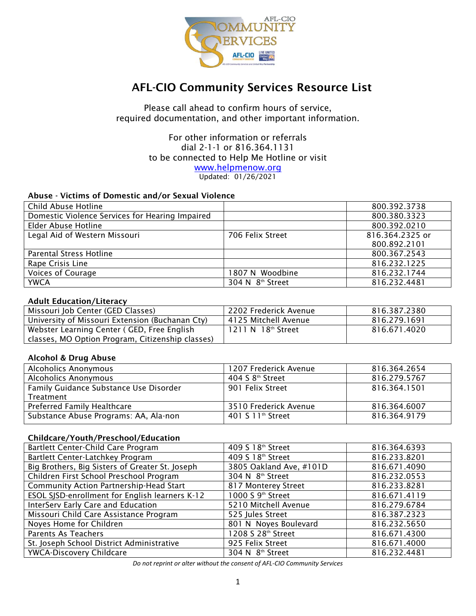

# AFL-CIO Community Services Resource List

Please call ahead to confirm hours of service, required documentation, and other important information.

### For other information or referrals dial 2-1-1 or 816.364.1131 to be connected to Help Me Hotline or visit [www.helpmenow.org](http://www.helpmenow.org/)

Updated: 01/26/2021

#### Abuse - Victims of Domestic and/or Sexual Violence

| Child Abuse Hotline                             |                              | 800.392.3738    |
|-------------------------------------------------|------------------------------|-----------------|
| Domestic Violence Services for Hearing Impaired |                              | 800.380.3323    |
| Elder Abuse Hotline                             |                              | 800.392.0210    |
| Legal Aid of Western Missouri                   | 706 Felix Street             | 816.364.2325 or |
|                                                 |                              | 800.892.2101    |
| Parental Stress Hotline                         |                              | 800.367.2543    |
| Rape Crisis Line                                |                              | 816.232.1225    |
| Voices of Courage                               | 1807 N Woodbine              | 816.232.1744    |
| <b>YWCA</b>                                     | 304 N 8 <sup>th</sup> Street | 816.232.4481    |

#### Adult Education/Literacy

| Missouri Job Center (GED Classes)                | 2202 Frederick Avenue | 816.387.2380 |
|--------------------------------------------------|-----------------------|--------------|
| University of Missouri Extension (Buchanan Cty)  | 4125 Mitchell Avenue  | 816.279.1691 |
| Webster Learning Center (GED, Free English       | 1211 N 18th Street    | 816.671.4020 |
| classes, MO Option Program, Citizenship classes) |                       |              |

#### Alcohol & Drug Abuse

| <b>Alcoholics Anonymous</b>            | 1207 Frederick Avenue         | 816.364.2654 |
|----------------------------------------|-------------------------------|--------------|
| <b>Alcoholics Anonymous</b>            | 404 S 8 <sup>th</sup> Street  | 816.279.5767 |
| Family Guidance Substance Use Disorder | 901 Felix Street              | 816.364.1501 |
| Treatment                              |                               |              |
| Preferred Family Healthcare            | 3510 Frederick Avenue         | 816.364.6007 |
| Substance Abuse Programs: AA, Ala-non  | 401 S 11 <sup>th</sup> Street | 816.364.9179 |

#### Childcare/Youth/Preschool/Education

| Bartlett Center-Child Care Program              | 409 S 18th Street             | 816.364.6393 |
|-------------------------------------------------|-------------------------------|--------------|
| Bartlett Center-Latchkey Program                | 409 S 18th Street             | 816.233.8201 |
| Big Brothers, Big Sisters of Greater St. Joseph | 3805 Oakland Ave, #101D       | 816.671.4090 |
| Children First School Preschool Program         | 304 N 8 <sup>th</sup> Street  | 816.232.0553 |
| Community Action Partnership-Head Start         | 817 Monterey Street           | 816.233.8281 |
| ESOL SJSD-enrollment for English learners K-12  | 1000 S 9 <sup>th</sup> Street | 816.671.4119 |
| <b>InterServ Early Care and Education</b>       | 5210 Mitchell Avenue          | 816.279.6784 |
| Missouri Child Care Assistance Program          | 525 Jules Street              | 816.387.2323 |
| Noyes Home for Children                         | 801 N Noyes Boulevard         | 816.232.5650 |
| Parents As Teachers                             | 1208 S 28th Street            | 816.671.4300 |
| St. Joseph School District Administrative       | 925 Felix Street              | 816.671.4000 |
| <b>YWCA-Discovery Childcare</b>                 | 304 N 8 <sup>th</sup> Street  | 816.232.4481 |

*Do not reprint or alter without the consent of AFL-CIO Community Services*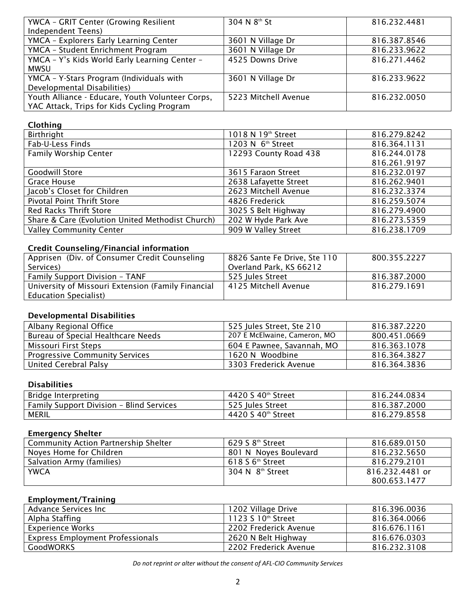| YWCA - GRIT Center (Growing Resilient            | 304 N 8th St         | 816.232.4481 |
|--------------------------------------------------|----------------------|--------------|
| Independent Teens)                               |                      |              |
| YMCA - Explorers Early Learning Center           | 3601 N Village Dr    | 816.387.8546 |
| YMCA - Student Enrichment Program                | 3601 N Village Dr    | 816.233.9622 |
| YMCA - Y's Kids World Early Learning Center -    | 4525 Downs Drive     | 816.271.4462 |
| <b>MWSU</b>                                      |                      |              |
| YMCA - Y-Stars Program (Individuals with         | 3601 N Village Dr    | 816.233.9622 |
| Developmental Disabilities)                      |                      |              |
| Youth Alliance - Educare, Youth Volunteer Corps, | 5223 Mitchell Avenue | 816.232.0050 |
| YAC Attack, Trips for Kids Cycling Program       |                      |              |

## Clothing

| Birthright                                       | 1018 N 19th Street            | 816.279.8242 |
|--------------------------------------------------|-------------------------------|--------------|
| Fab-U-Less Finds                                 | 1203 N 6 <sup>th</sup> Street | 816.364.1131 |
| <b>Family Worship Center</b>                     | 12293 County Road 438         | 816.244.0178 |
|                                                  |                               | 816.261.9197 |
| <b>Goodwill Store</b>                            | 3615 Faraon Street            | 816.232.0197 |
| Grace House                                      | 2638 Lafayette Street         | 816.262.9401 |
| Jacob's Closet for Children                      | 2623 Mitchell Avenue          | 816.232.3374 |
| Pivotal Point Thrift Store                       | 4826 Frederick                | 816.259.5074 |
| Red Racks Thrift Store                           | 3025 S Belt Highway           | 816.279.4900 |
| Share & Care (Evolution United Methodist Church) | 202 W Hyde Park Ave           | 816.273.5359 |
| <b>Valley Community Center</b>                   | 909 W Valley Street           | 816.238.1709 |

# Credit Counseling/Financial information

| Apprisen (Div. of Consumer Credit Counseling)      | 8826 Sante Fe Drive, Ste 110 | 800.355.2227 |
|----------------------------------------------------|------------------------------|--------------|
| Services)                                          | Overland Park, KS 66212      |              |
| <b>Family Support Division - TANF</b>              | 525 Jules Street             | 816.387.2000 |
| University of Missouri Extension (Family Financial | l 4125 Mitchell Avenue       | 816.279.1691 |
| <b>Education Specialist</b> )                      |                              |              |

# Developmental Disabilities

| Albany Regional Office                | 525 Jules Street, Ste 210    | 816.387.2220 |
|---------------------------------------|------------------------------|--------------|
| Bureau of Special Healthcare Needs    | 207 E McElwaine, Cameron, MO | 800.451.0669 |
| Missouri First Steps                  | 604 E Pawnee, Savannah, MO   | 816.363.1078 |
| <b>Progressive Community Services</b> | 1620 N Woodbine              | 816.364.3827 |
| United Cerebral Palsy                 | 3303 Frederick Avenue        | 816.364.3836 |

# Disabilities

| Bridge Interpreting                      | 4420 S 40th Street | 816.244.0834 |
|------------------------------------------|--------------------|--------------|
| Family Support Division - Blind Services | 525 Jules Street   | 816.387.2000 |
| MERIL                                    | 4420 S 40th Street | 816.279.8558 |

# Emergency Shelter

| <b>Community Action Partnership Shelter</b> | $629S8^{th}$ Street          | 816.689.0150    |
|---------------------------------------------|------------------------------|-----------------|
| Noyes Home for Children                     | 801 N Noves Boulevard        | 816.232.5650    |
| Salvation Army (families)                   | $618S6^{\text{th}}$ Street   | 816.279.2101    |
| <b>YWCA</b>                                 | 304 N 8 <sup>th</sup> Street | 816.232.4481 or |
|                                             |                              | 800.653.1477    |

# Employment/Training

| Advance Services Inc                    | 1202 Village Drive    | 816.396.0036 |
|-----------------------------------------|-----------------------|--------------|
| Alpha Staffing                          | 1123 S 10th Street    | 816.364.0066 |
| <b>Experience Works</b>                 | 2202 Frederick Avenue | 816.676.1161 |
| <b>Express Employment Professionals</b> | 2620 N Belt Highway   | 816.676.0303 |
| <b>GoodWORKS</b>                        | 2202 Frederick Avenue | 816.232.3108 |

*Do not reprint or alter without the consent of AFL-CIO Community Services*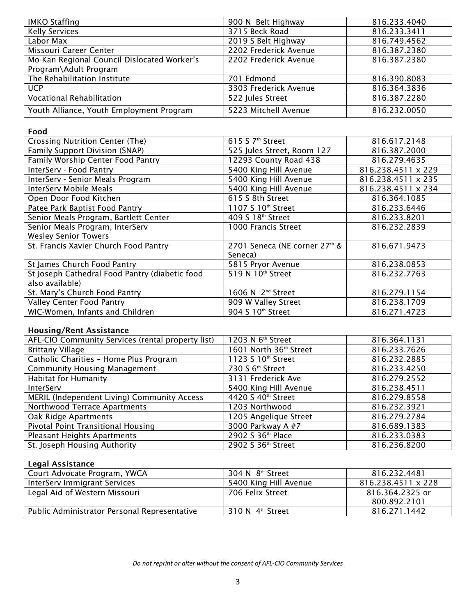| <b>IMKO Staffing</b>                        | 900 N Belt Highway    | 816.233.4040 |
|---------------------------------------------|-----------------------|--------------|
| <b>Kelly Services</b>                       | 3715 Beck Road        | 816.233.3411 |
| Labor Max                                   | 2019 S Belt Highway   | 816.749.4562 |
| Missouri Career Center                      | 2202 Frederick Avenue | 816.387.2380 |
| Mo-Kan Regional Council Dislocated Worker's | 2202 Frederick Avenue | 816.387.2380 |
| Program\Adult Program                       |                       |              |
| The Rehabilitation Institute                | 701 Edmond            | 816.390.8083 |
| <b>UCP</b>                                  | 3303 Frederick Avenue | 816.364.3836 |
| Vocational Rehabilitation                   | 522 Jules Street      | 816.387.2280 |
| Youth Alliance, Youth Employment Program    | 5223 Mitchell Avenue  | 816.232.0050 |

#### Food

| Crossing Nutrition Center (The)                | 615 S 7 <sup>th</sup> Street  | 816.617.2148       |
|------------------------------------------------|-------------------------------|--------------------|
| Family Support Division (SNAP)                 | 525 Jules Street, Room 127    | 816.387.2000       |
| Family Worship Center Food Pantry              | 12293 County Road 438         | 816.279.4635       |
| InterServ - Food Pantry                        | 5400 King Hill Avenue         | 816.238.4511 x 229 |
| InterServ - Senior Meals Program               | 5400 King Hill Avenue         | 816.238.4511 x 235 |
| InterServ Mobile Meals                         | 5400 King Hill Avenue         | 816.238.4511 x 234 |
| Open Door Food Kitchen                         | 615 S 8th Street              | 816.364.1085       |
| Patee Park Baptist Food Pantry                 | 1107 S 10th Street            | 816.233.6446       |
| Senior Meals Program, Bartlett Center          | 409 S 18th Street             | 816.233.8201       |
| Senior Meals Program, InterServ                | 1000 Francis Street           | 816.232.2839       |
| <b>Wesley Senior Towers</b>                    |                               |                    |
| St. Francis Xavier Church Food Pantry          | 2701 Seneca (NE corner 27th & | 816.671.9473       |
|                                                | Seneca)                       |                    |
| St James Church Food Pantry                    | 5815 Pryor Avenue             | 816.238.0853       |
| St Joseph Cathedral Food Pantry (diabetic food | 519 N 10 <sup>th</sup> Street | 816.232.7763       |
| also available)                                |                               |                    |
| St. Mary's Church Food Pantry                  | 1606 N 2 <sup>nd</sup> Street | 816.279.1154       |
| <b>Valley Center Food Pantry</b>               | 909 W Valley Street           | 816.238.1709       |
| WIC-Women, Infants and Children                | 904 S 10th Street             | 816.271.4723       |

# Housing/Rent Assistance

| AFL-CIO Community Services (rental property list) | 1203 N 6 <sup>th</sup> Street      | 816.364.1131 |
|---------------------------------------------------|------------------------------------|--------------|
| <b>Brittany Village</b>                           | 1601 North 36 <sup>th</sup> Street | 816.233.7626 |
| Catholic Charities - Home Plus Program            | 1123 S 10th Street                 | 816.232.2885 |
| <b>Community Housing Management</b>               | 730 S 6 <sup>th</sup> Street       | 816.233.4250 |
| <b>Habitat for Humanity</b>                       | 3131 Frederick Ave                 | 816.279.2552 |
| InterServ                                         | 5400 King Hill Avenue              | 816.238.4511 |
| MERIL (Independent Living) Community Access       | 4420 S 40th Street                 | 816.279.8558 |
| Northwood Terrace Apartments                      | 1203 Northwood                     | 816.232.3921 |
| Oak Ridge Apartments                              | 1205 Angelique Street              | 816.279.2784 |
| Pivotal Point Transitional Housing                | 3000 Parkway A #7                  | 816.689.1383 |
| Pleasant Heights Apartments                       | 2902 S 36th Place                  | 816.233.0383 |
| St. Joseph Housing Authority                      | 2902 S 36th Street                 | 816.236.8200 |

# Legal Assistance

| Court Advocate Program, YWCA                 | 304 N 8 <sup>th</sup> Street   | 816.232.4481       |
|----------------------------------------------|--------------------------------|--------------------|
| InterServ Immigrant Services                 | 5400 King Hill Avenue          | 816.238.4511 x 228 |
| Legal Aid of Western Missouri                | 706 Felix Street               | 816.364.2325 or    |
|                                              |                                | 800.892.2101       |
| Public Administrator Personal Representative | $310 N$ 4 <sup>th</sup> Street | 816.271.1442       |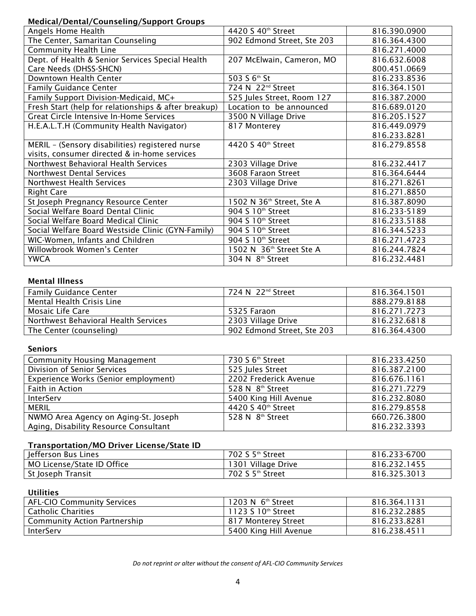## Medical/Dental/Counseling/Support Groups

| Medical/Defital/Counselling/Support Groups           |                               |              |
|------------------------------------------------------|-------------------------------|--------------|
| Angels Home Health                                   | 4420 S 40th Street            | 816.390.0900 |
| The Center, Samaritan Counseling                     | 902 Edmond Street, Ste 203    | 816.364.4300 |
| Community Health Line                                |                               | 816.271.4000 |
| Dept. of Health & Senior Services Special Health     | 207 McElwain, Cameron, MO     | 816.632.6008 |
| Care Needs (DHSS-SHCN)                               |                               | 800.451.0669 |
| Downtown Health Center                               | 503 S 6th St                  | 816.233.8536 |
| <b>Family Guidance Center</b>                        | 724 N 22 <sup>nd</sup> Street | 816.364.1501 |
| Family Support Division-Medicaid, MC+                | 525 Jules Street, Room 127    | 816.387.2000 |
| Fresh Start (help for relationships & after breakup) | Location to be announced      | 816.689.0120 |
| <b>Great Circle Intensive In-Home Services</b>       | 3500 N Village Drive          | 816.205.1527 |
| H.E.A.L.T.H (Community Health Navigator)             | 817 Monterey                  | 816.449.0979 |
|                                                      |                               | 816.233.8281 |
| MERIL - (Sensory disabilities) registered nurse      | 4420 S 40th Street            | 816.279.8558 |
| visits, consumer directed & in-home services         |                               |              |
| Northwest Behavioral Health Services                 | 2303 Village Drive            | 816.232.4417 |
| <b>Northwest Dental Services</b>                     | 3608 Faraon Street            | 816.364.6444 |
| Northwest Health Services                            | 2303 Village Drive            | 816.271.8261 |
| <b>Right Care</b>                                    |                               | 816.271.8850 |
| St Joseph Pregnancy Resource Center                  | 1502 N 36th Street, Ste A     | 816.387.8090 |
| Social Welfare Board Dental Clinic                   | 904 S 10th Street             | 816.233-5189 |
| Social Welfare Board Medical Clinic                  | 904 S 10 <sup>th</sup> Street | 816.233.5188 |
| Social Welfare Board Westside Clinic (GYN-Family)    | 904 S 10 <sup>th</sup> Street | 816.344.5233 |
| WIC-Women, Infants and Children                      | 904 S 10th Street             | 816.271.4723 |
| Willowbrook Women's Center                           | 1502 N 36th Street Ste A      | 816.244.7824 |
| <b>YWCA</b>                                          | 304 N 8 <sup>th</sup> Street  | 816.232.4481 |

# Mental Illness

| <b>Family Guidance Center</b>        | 724 N 22 <sup>nd</sup> Street | 816.364.1501 |
|--------------------------------------|-------------------------------|--------------|
| Mental Health Crisis Line            |                               | 888.279.8188 |
| Mosaic Life Care                     | 5325 Faraon                   | 816.271.7273 |
| Northwest Behavioral Health Services | 2303 Village Drive            | 816.232.6818 |
| The Center (counseling)              | 902 Edmond Street, Ste 203    | 816.364.4300 |

# Seniors

| <b>Community Housing Management</b>   | 730 S 6 <sup>th</sup> Street | 816.233.4250 |
|---------------------------------------|------------------------------|--------------|
| Division of Senior Services           | 525 Jules Street             | 816.387.2100 |
| Experience Works (Senior employment)  | 2202 Frederick Avenue        | 816.676.1161 |
| Faith in Action                       | 528 N 8 <sup>th</sup> Street | 816.271.7279 |
| InterServ                             | 5400 King Hill Avenue        | 816.232.8080 |
| <b>MERIL</b>                          | 4420 S 40th Street           | 816.279.8558 |
| NWMO Area Agency on Aging-St. Joseph  | 528 N 8th Street             | 660.726.3800 |
| Aging, Disability Resource Consultant |                              | 816.232.3393 |

#### Transportation/MO Driver License/State ID

| Jefferson Bus Lines        | 702 S 5 <sup>th</sup> Street | 816.233-6700 |
|----------------------------|------------------------------|--------------|
| MO License/State ID Office | 1301 Village Drive           | 816.232.1455 |
| St Joseph Transit          | 702 S 5 <sup>th</sup> Street | 816.325.3013 |

#### **Utilities**

| <b>AFL-CIO Community Services</b>   | 1203 N $6th$ Street   | 816.364.1131 |
|-------------------------------------|-----------------------|--------------|
| <b>Catholic Charities</b>           | 1123 S $10th$ Street  | 816.232.2885 |
| <b>Community Action Partnership</b> | 817 Monterey Street   | 816.233.8281 |
| <b>InterServ</b>                    | 5400 King Hill Avenue | 816.238.4511 |